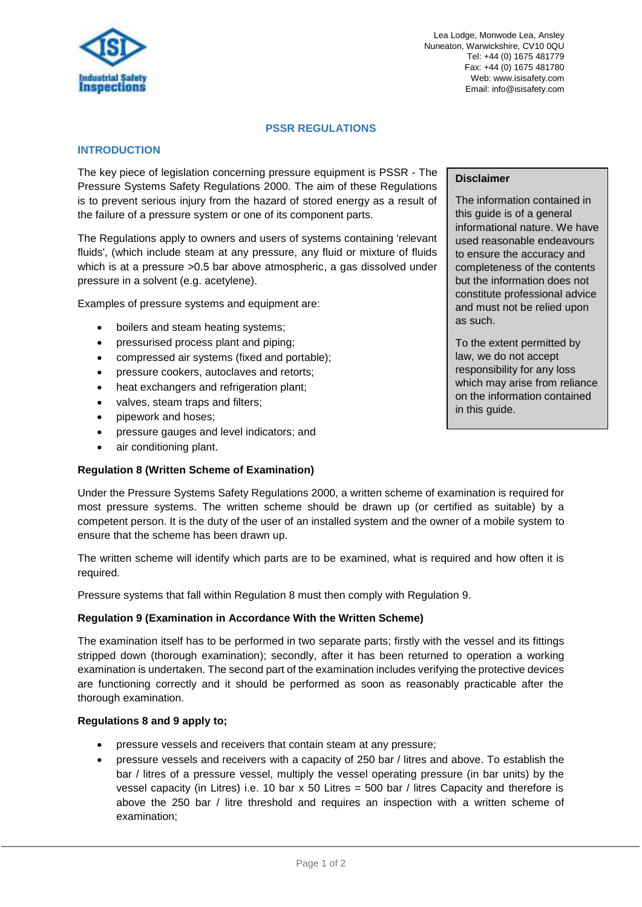

Lea Lodge, Monwode Lea, Ansley Nuneaton, Warwickshire, CV10 0QU Tel: +44 (0) 1675 481779 Fax: +44 (0) 1675 481780 Web: www.isisafety.com Email: info@isisafety.com

### **PSSR REGULATIONS**

# **INTRODUCTION**

The key piece of legislation concerning pressure equipment is PSSR - The Pressure Systems Safety Regulations 2000. The aim of these Regulations is to prevent serious injury from the hazard of stored energy as a result of the failure of a pressure system or one of its component parts.

The Regulations apply to owners and users of systems containing 'relevant fluids', (which include steam at any pressure, any fluid or mixture of fluids which is at a pressure > 0.5 bar above atmospheric, a gas dissolved under pressure in a solvent (e.g. acetylene).

Examples of pressure systems and equipment are:

- boilers and steam heating systems;
- pressurised process plant and piping;
- compressed air systems (fixed and portable);
- pressure cookers, autoclaves and retorts;
- heat exchangers and refrigeration plant;
- valves, steam traps and filters;
- pipework and hoses;
- pressure gauges and level indicators; and
- air conditioning plant.

## **Regulation 8 (Written Scheme of Examination)**

### **Disclaimer**

The information contained in this guide is of a general informational nature. We have used reasonable endeavours to ensure the accuracy and completeness of the contents but the information does not constitute professional advice and must not be relied upon as such.

To the extent permitted by law, we do not accept responsibility for any loss which may arise from reliance on the information contained in this guide.

Under the Pressure Systems Safety Regulations 2000, a written scheme of examination is required for most pressure systems. The written scheme should be drawn up (or certified as suitable) by a competent person. It is the duty of the user of an installed system and the owner of a mobile system to ensure that the scheme has been drawn up.

The written scheme will identify which parts are to be examined, what is required and how often it is required.

Pressure systems that fall within Regulation 8 must then comply with Regulation 9.

## **Regulation 9 (Examination in Accordance With the Written Scheme)**

The examination itself has to be performed in two separate parts; firstly with the vessel and its fittings stripped down (thorough examination); secondly, after it has been returned to operation a working examination is undertaken. The second part of the examination includes verifying the protective devices are functioning correctly and it should be performed as soon as reasonably practicable after the thorough examination.

## **Regulations 8 and 9 apply to;**

- pressure vessels and receivers that contain steam at any pressure;
- pressure vessels and receivers with a capacity of 250 bar / litres and above. To establish the bar / litres of a pressure vessel, multiply the vessel operating pressure (in bar units) by the vessel capacity (in Litres) i.e. 10 bar x 50 Litres = 500 bar / litres Capacity and therefore is above the 250 bar / litre threshold and requires an inspection with a written scheme of examination;